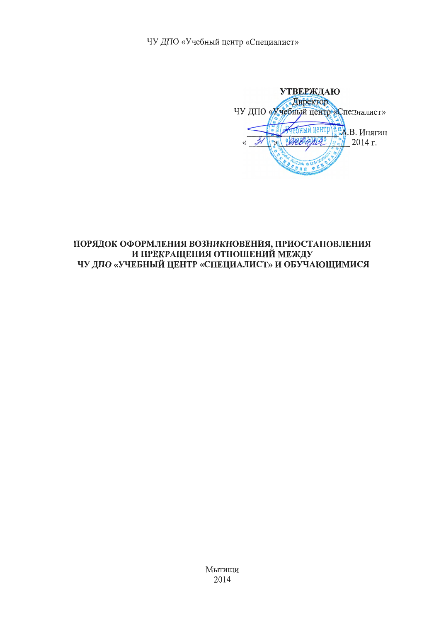ЧУ ДПО «Учебный центр «Специалист»

**УТВЕРЖДАЮ** Директор ЧУ ДПО «Учебный центр «Специалист» **ым нентр** 4.В. Инягин ensens 2014 г.  $\overline{\mathcal{K}}$ **DRAE** 

# ПОРЯДОК ОФОРМЛЕНИЯ ВОЗНИКНОВЕНИЯ, ПРИОСТАНОВЛЕНИЯ И ПРЕКРАЩЕНИЯ ОТНОШЕНИЙ МЕЖДУ ЧУ ДПО «УЧЕБНЫЙ ЦЕНТР «СПЕЦИАЛИСТ» И ОБУЧАЮЩИМИСЯ

Мытищи 2014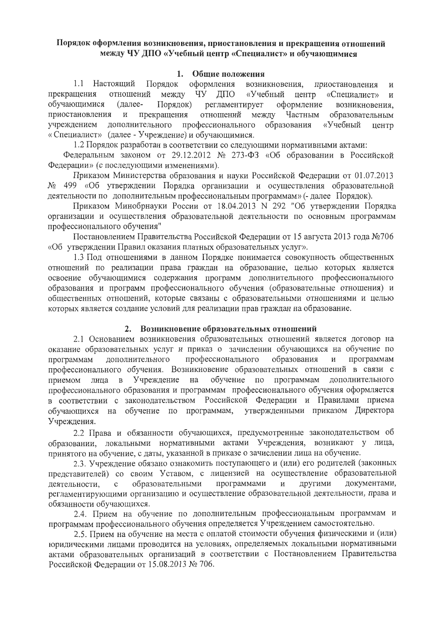# Порядок оформления возникновения, приостановления и прекрашения отношений между ЧУ ДПО «Учебный центр «Специалист» и обучающимися

## 1. Общие положения

Порядок оформления возникновения. 1.1 Настояний приостановления  $\overline{M}$ чу дпо «Учебный центр прекрашения отношений межлу «Специалист»  $\overline{M}$ обучающимися (далее-Порядок) регламентирует оформление возникновения. приостановления прекращения отношений между Частным образовательным  $\mathbf{H}$ учреждением дополнительного профессионального образования «Учебный центр «Специалист» (далее - Учреждение) и обучающимися.

1.2 Порядок разработан в соответствии со следующими нормативными актами:

Федеральным законом от 29.12.2012 № 273-ФЗ «Об образовании в Российской Федерации» (с последующими изменениями).

Приказом Министерства образования и науки Российской Федерации от 01.07.2013 № 499 «Об утверждении Порядка организации и осуществления образовательной деятельности по дополнительным профессиональным программам» (- далее Порядок).

Приказом Минобрнауки России от 18.04.2013 N 292 "Об утверждении Порядка организации и осуществления образовательной деятельности по основным программам профессионального обучения"

Постановлением Правительства Российской Федерации от 15 августа 2013 года №706 «Об утверждении Правил оказания платных образовательных услуг».

1.3 Под отношениями в данном Порядке понимается совокупность общественных отношений по реализации права граждан на образование, целью которых является освоение обучающимися содержания программ дополнительного профессионального образования и программ профессионального обучения (образовательные отношения) и общественных отношений, которые связаны с образовательными отношениями и целью которых является создание условий для реализации прав граждан на образование.

# 2. Возникновение образовательных отношений

2.1 Основанием возникновения образовательных отношений является договор на оказание образовательных услуг и приказ о зачислении обучающихся на обучение по профессионального образования программам дополнительного программам профессионального обучения. Возникновение образовательных отношений в связи с в Учреждение на обучение по программам дополнительного приемом лица профессионального образования и программам профессионального обучения оформляется в соответствии с законодательством Российской Федерации и Правилами приема утвержденными приказом Директора обучающихся на обучение по программам, Учреждения.

2.2 Права и обязанности обучающихся, предусмотренные законодательством об образовании, локальными нормативными актами Учреждения, возникают у лица, принятого на обучение, с даты, указанной в приказе о зачислении лица на обучение.

2.3. Учреждение обязано ознакомить поступающего и (или) его родителей (законных представителей) со своим Уставом, с лицензией на осуществление образовательной программами другими документами, образовательными деятельности,  $\mathbf{c}$ регламентирующими организацию и осуществление образовательной деятельности, права и обязанности обучающихся.

2.4. Прием на обучение по дополнительным профессиональным программам и программам профессионального обучения определяется Учреждением самостоятельно.

2.5. Прием на обучение на места с оплатой стоимости обучения физическими и (или) юридическими лицами проводится на условиях, определяемых локальными нормативными актами образовательных организаций в соответствии с Постановлением Правительства Российской Федерации от 15.08.2013 № 706.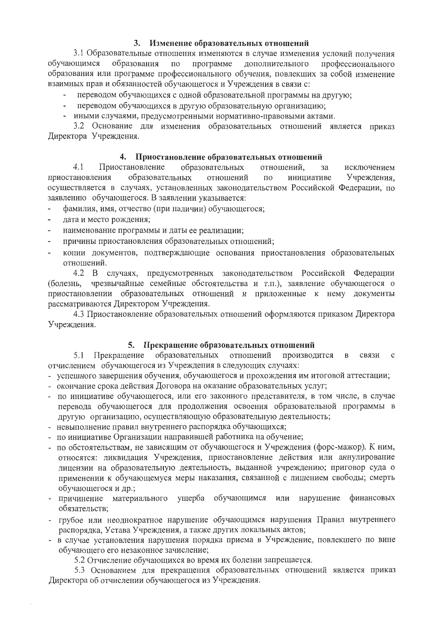## 3. Изменение образовательных отношений

3.1 Образовательные отношения изменяются в случае изменения условий получения обучающимся образования  $\Pi$ <sup>O</sup> программе дополнительного профессионального образования или программе профессионального обучения, повлекших за собой изменение взаимных прав и обязанностей обучающегося и Учреждения в связи с:

- переводом обучающихся с одной образовательной программы на другую;
- переводом обучающихся в другую образовательную организацию;
- иными случаями, предусмотренными нормативно-правовыми актами.

3.2 Основание для изменения образовательных отношений является приказ Директора Учреждения.

## 4. Приостановление образовательных отношений

Приостановление образовательных  $4.1$ отношений. исключением  $39<sup>2</sup>$ образовательных приостановления отношений  $\Pi$ <sup>O</sup> инициативе Учреждения. осуществляется в случаях, установленных законодательством Российской Федерации, по заявлению обучающегося. В заявлении указывается:

- фамилия, имя, отчество (при наличии) обучающегося;
- дата и место рождения;
- наименование программы и даты ее реализации;
- причины приостановления образовательных отношений;
- копии документов, подтверждающие основания приостановления образовательных отношений.

4.2 В случаях, предусмотренных законодательством Российской Федерации чрезвычайные семейные обстоятельства и т.п.), заявление обучающегося о (болезнь, приостановлении образовательных отношений и приложенные к нему документы рассматриваются Директором Учреждения.

4.3 Приостановление образовательных отношений оформляются приказом Директора Учреждения.

## 5. Прекращение образовательных отношений

Прекращение образовательных отношений производится связи 5.1  $\, {\bf B}$  $\mathcal{C}$ отчислением обучающегося из Учреждения в следующих случаях:

- успешного завершения обучения, обучающегося и прохождения им итоговой аттестации;
- окончание срока действия Договора на оказание образовательных услуг;
- по инициативе обучающегося, или его законного представителя, в том числе, в случае перевода обучающегося для продолжения освоения образовательной программы в другую организацию, осуществляющую образовательную деятельность;
- невыполнение правил внутреннего распорядка обучающихся;
- по инициативе Организации направившей работника на обучение;
- по обстоятельствам, не зависящим от обучающегося и Учреждения (форс-мажор). К ним, относятся: ликвидация Учреждения, приостановление действия или аннулирование лицензии на образовательную деятельность, выданной учреждению; приговор суда о применении к обучающемуся меры наказания, связанной с лишением свободы; смерть обучающегося и др.;
- причинение материального ущерба обучающимся или нарушение финансовых обязательств;
- грубое или неоднократное нарушение обучающимся нарушения Правил внутреннего распорядка, Устава Учреждения, а также других локальных актов;
- в случае установления нарушения порядка приема в Учреждение, повлекшего по вине обучающего его незаконное зачисление;
	- 5.2 Отчисление обучающихся во время их болезни запрещается.

5.3 Основанием для прекращения образовательных отношений является приказ Директора об отчислении обучающегося из Учреждения.